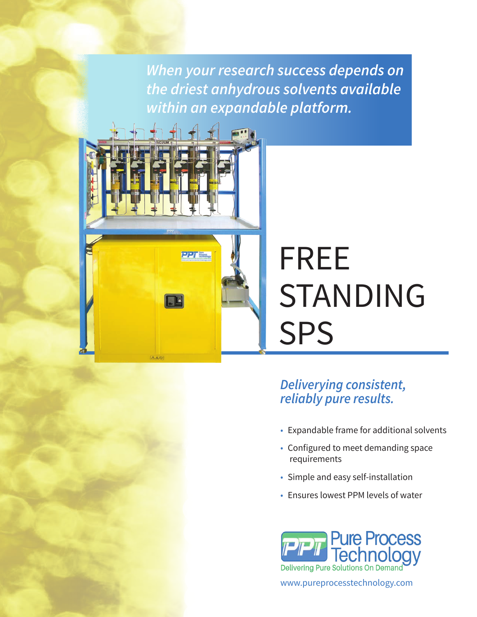*When your research success depends on the driest anhydrous solvents available within an expandable platform.*



# FREE STANDING SPS

## *Deliverying consistent, reliably pure results.*

- Expandable frame for additional solvents
- Configured to meet demanding space requirements
- Simple and easy self-installation
- Ensures lowest PPM levels of water